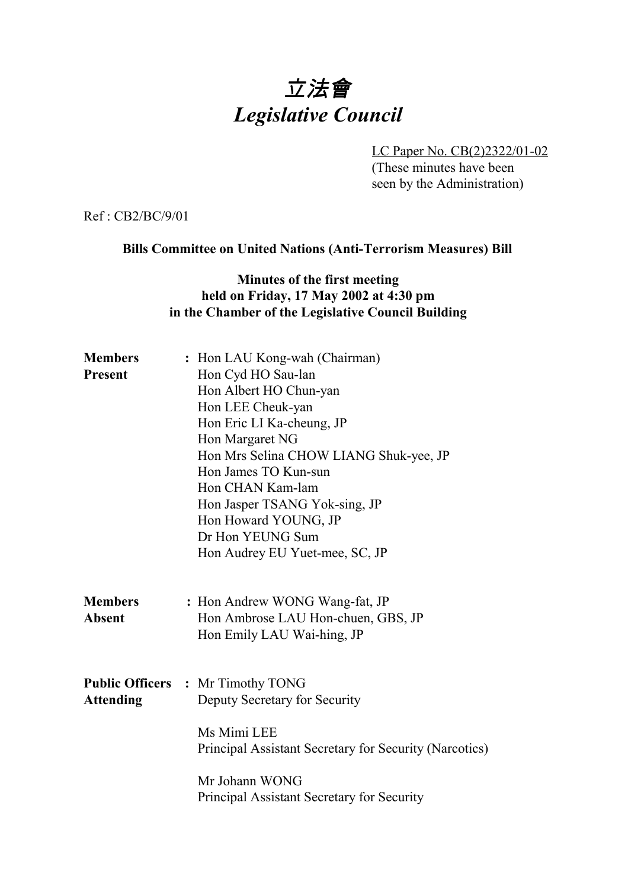# 立法會 *Legislative Council*

LC Paper No. CB(2)2322/01-02 (These minutes have been seen by the Administration)

Ref : CB2/BC/9/01

#### **Bills Committee on United Nations (Anti-Terrorism Measures) Bill**

#### **Minutes of the first meeting held on Friday, 17 May 2002 at 4:30 pm in the Chamber of the Legislative Council Building**

| <b>Members</b><br><b>Present</b> | : Hon LAU Kong-wah (Chairman)<br>Hon Cyd HO Sau-lan<br>Hon Albert HO Chun-yan<br>Hon LEE Cheuk-yan<br>Hon Eric LI Ka-cheung, JP<br>Hon Margaret NG<br>Hon Mrs Selina CHOW LIANG Shuk-yee, JP<br>Hon James TO Kun-sun<br>Hon CHAN Kam-lam<br>Hon Jasper TSANG Yok-sing, JP<br>Hon Howard YOUNG, JP<br>Dr Hon YEUNG Sum<br>Hon Audrey EU Yuet-mee, SC, JP |
|----------------------------------|---------------------------------------------------------------------------------------------------------------------------------------------------------------------------------------------------------------------------------------------------------------------------------------------------------------------------------------------------------|
| <b>Members</b><br><b>Absent</b>  | : Hon Andrew WONG Wang-fat, JP<br>Hon Ambrose LAU Hon-chuen, GBS, JP<br>Hon Emily LAU Wai-hing, JP                                                                                                                                                                                                                                                      |
| <b>Attending</b>                 | <b>Public Officers : Mr Timothy TONG</b><br>Deputy Secretary for Security<br>Ms Mimi LEE<br>Principal Assistant Secretary for Security (Narcotics)<br>Mr Johann WONG<br>Principal Assistant Secretary for Security                                                                                                                                      |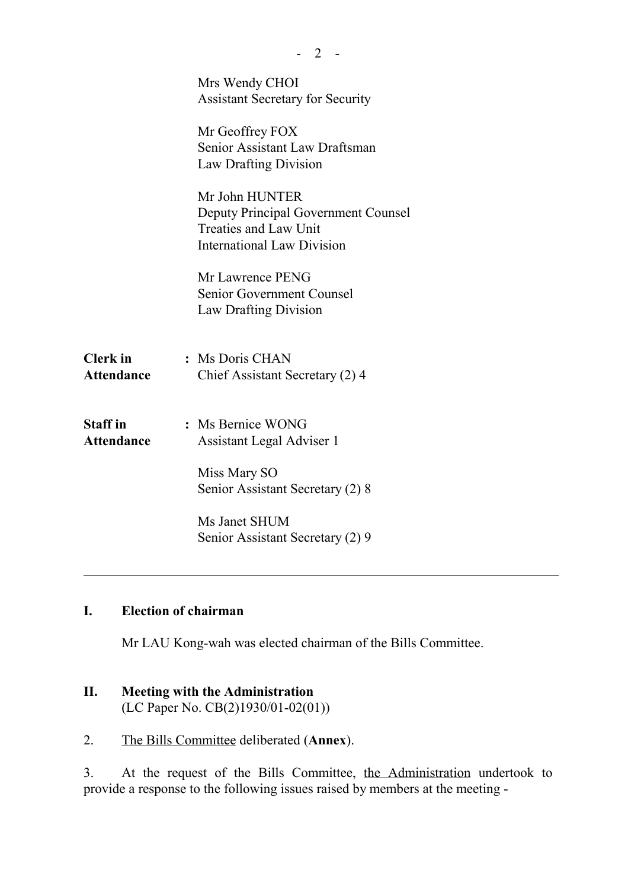|                                      | Mrs Wendy CHOI<br><b>Assistant Secretary for Security</b>                                                                  |
|--------------------------------------|----------------------------------------------------------------------------------------------------------------------------|
|                                      | Mr Geoffrey FOX<br>Senior Assistant Law Draftsman<br><b>Law Drafting Division</b>                                          |
|                                      | Mr John HUNTER<br><b>Deputy Principal Government Counsel</b><br>Treaties and Law Unit<br><b>International Law Division</b> |
|                                      | Mr Lawrence PENG<br>Senior Government Counsel<br><b>Law Drafting Division</b>                                              |
| <b>Clerk</b> in<br><b>Attendance</b> | : Ms Doris CHAN<br>Chief Assistant Secretary (2) 4                                                                         |
| <b>Staff</b> in<br><b>Attendance</b> | : Ms Bernice WONG<br>Assistant Legal Adviser 1                                                                             |
|                                      | Miss Mary SO<br>Senior Assistant Secretary (2) 8                                                                           |
|                                      | Ms Janet SHUM<br>Senior Assistant Secretary (2) 9                                                                          |

 $- 2 -$ 

## **I. Election of chairman**

Mr LAU Kong-wah was elected chairman of the Bills Committee.

# **II. Meeting with the Administration**

(LC Paper No. CB(2)1930/01-02(01))

2. The Bills Committee deliberated (**Annex**).

3. At the request of the Bills Committee, the Administration undertook to provide a response to the following issues raised by members at the meeting -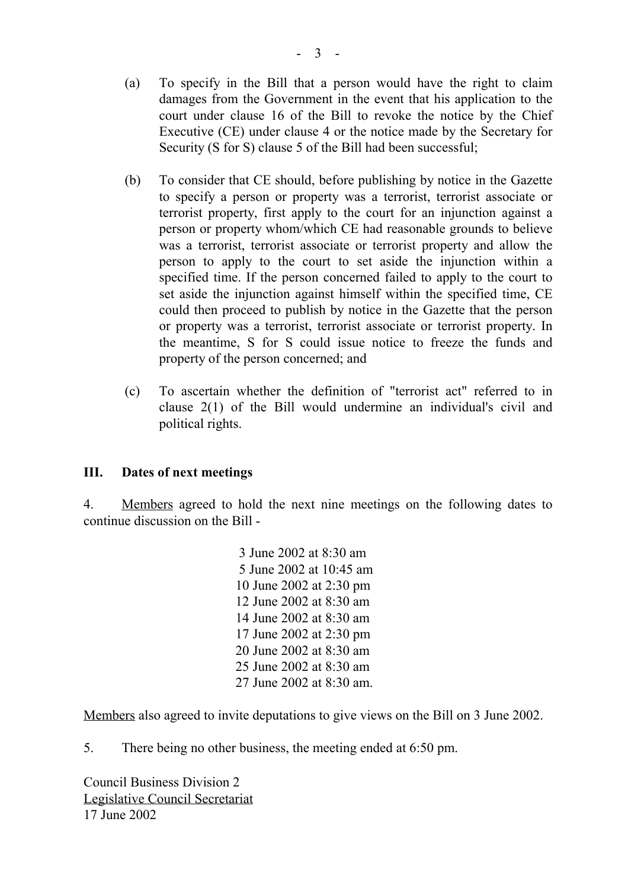- (a) To specify in the Bill that a person would have the right to claim damages from the Government in the event that his application to the court under clause 16 of the Bill to revoke the notice by the Chief Executive (CE) under clause 4 or the notice made by the Secretary for Security (S for S) clause 5 of the Bill had been successful;
- (b) To consider that CE should, before publishing by notice in the Gazette to specify a person or property was a terrorist, terrorist associate or terrorist property, first apply to the court for an injunction against a person or property whom/which CE had reasonable grounds to believe was a terrorist, terrorist associate or terrorist property and allow the person to apply to the court to set aside the injunction within a specified time. If the person concerned failed to apply to the court to set aside the injunction against himself within the specified time, CE could then proceed to publish by notice in the Gazette that the person or property was a terrorist, terrorist associate or terrorist property. In the meantime, S for S could issue notice to freeze the funds and property of the person concerned; and
- (c) To ascertain whether the definition of "terrorist act" referred to in clause 2(1) of the Bill would undermine an individual's civil and political rights.

### **III. Dates of next meetings**

4. Members agreed to hold the next nine meetings on the following dates to continue discussion on the Bill -

> 3 June 2002 at 8:30 am 5 June 2002 at 10:45 am 10 June 2002 at 2:30 pm 12 June 2002 at 8:30 am 14 June 2002 at 8:30 am 17 June 2002 at 2:30 pm 20 June 2002 at 8:30 am 25 June 2002 at 8:30 am 27 June 2002 at 8:30 am.

Members also agreed to invite deputations to give views on the Bill on 3 June 2002.

5. There being no other business, the meeting ended at 6:50 pm.

Council Business Division 2 Legislative Council Secretariat 17 June 2002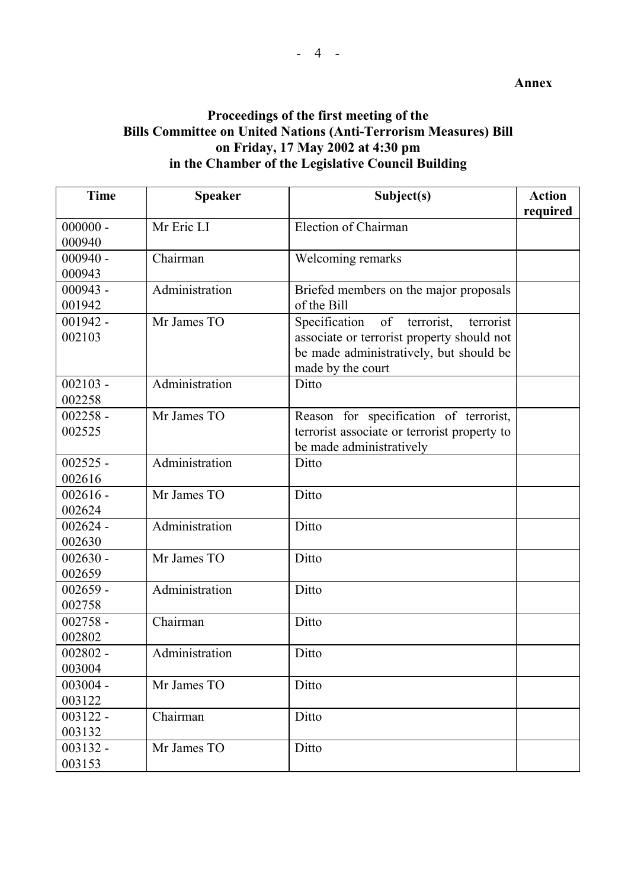### **Proceedings of the first meeting of the Bills Committee on United Nations (Anti-Terrorism Measures) Bill on Friday, 17 May 2002 at 4:30 pm in the Chamber of the Legislative Council Building**

| <b>Time</b> | <b>Speaker</b> | Subject(s)                                   | <b>Action</b> |
|-------------|----------------|----------------------------------------------|---------------|
|             |                |                                              | required      |
| $000000 -$  | Mr Eric LI     | Election of Chairman                         |               |
| 000940      |                |                                              |               |
| $000940 -$  | Chairman       | Welcoming remarks                            |               |
| 000943      |                |                                              |               |
| $000943 -$  | Administration | Briefed members on the major proposals       |               |
| 001942      |                | of the Bill                                  |               |
| $001942 -$  | Mr James TO    | Specification<br>of terrorist,<br>terrorist  |               |
| 002103      |                | associate or terrorist property should not   |               |
|             |                | be made administratively, but should be      |               |
|             |                | made by the court                            |               |
| $002103 -$  | Administration | Ditto                                        |               |
| 002258      |                |                                              |               |
| $002258 -$  | Mr James TO    | Reason for specification of terrorist,       |               |
| 002525      |                | terrorist associate or terrorist property to |               |
|             |                | be made administratively                     |               |
| $002525 -$  | Administration | Ditto                                        |               |
| 002616      |                |                                              |               |
| $002616 -$  | Mr James TO    | Ditto                                        |               |
| 002624      |                |                                              |               |
| $002624 -$  | Administration | Ditto                                        |               |
| 002630      |                |                                              |               |
| $002630 -$  | Mr James TO    | Ditto                                        |               |
| 002659      |                |                                              |               |
| $002659 -$  | Administration | Ditto                                        |               |
| 002758      |                |                                              |               |
| $002758 -$  | Chairman       | Ditto                                        |               |
| 002802      |                |                                              |               |
| $002802 -$  | Administration | Ditto                                        |               |
| 003004      |                |                                              |               |
| $003004 -$  | Mr James TO    | Ditto                                        |               |
| 003122      |                |                                              |               |
| $003122 -$  | Chairman       | Ditto                                        |               |
| 003132      |                |                                              |               |
| $003132 -$  | Mr James TO    | Ditto                                        |               |
| 003153      |                |                                              |               |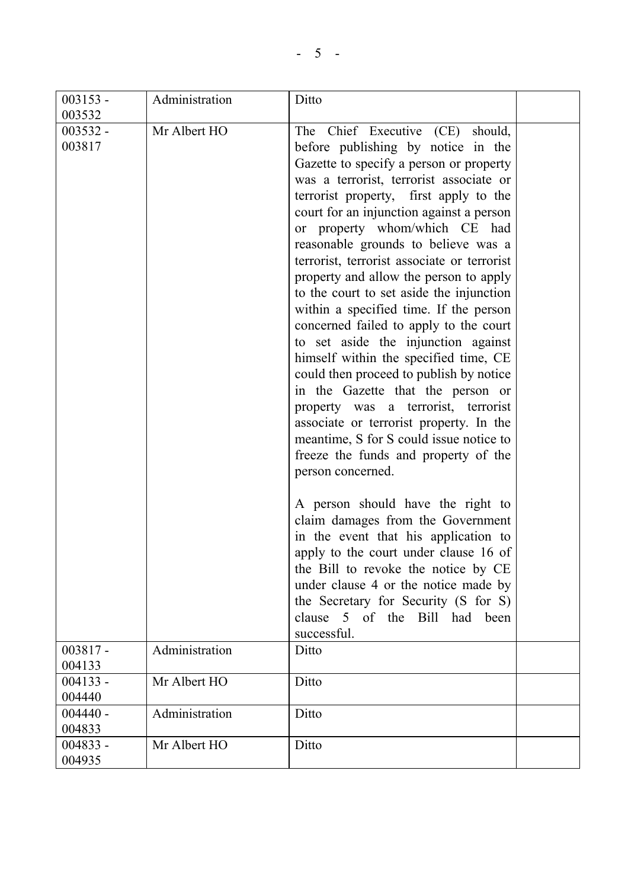| $003153 -$ | Administration | Ditto                                       |  |
|------------|----------------|---------------------------------------------|--|
| 003532     |                |                                             |  |
| $003532 -$ | Mr Albert HO   | The Chief Executive (CE) should,            |  |
| 003817     |                | before publishing by notice in the          |  |
|            |                | Gazette to specify a person or property     |  |
|            |                | was a terrorist, terrorist associate or     |  |
|            |                | terrorist property, first apply to the      |  |
|            |                | court for an injunction against a person    |  |
|            |                | or property whom/which CE had               |  |
|            |                | reasonable grounds to believe was a         |  |
|            |                | terrorist, terrorist associate or terrorist |  |
|            |                | property and allow the person to apply      |  |
|            |                | to the court to set aside the injunction    |  |
|            |                | within a specified time. If the person      |  |
|            |                | concerned failed to apply to the court      |  |
|            |                | to set aside the injunction against         |  |
|            |                | himself within the specified time, CE       |  |
|            |                | could then proceed to publish by notice     |  |
|            |                | in the Gazette that the person or           |  |
|            |                | property was a terrorist, terrorist         |  |
|            |                | associate or terrorist property. In the     |  |
|            |                |                                             |  |
|            |                | meantime, S for S could issue notice to     |  |
|            |                | freeze the funds and property of the        |  |
|            |                | person concerned.                           |  |
|            |                | A person should have the right to           |  |
|            |                | claim damages from the Government           |  |
|            |                | in the event that his application to        |  |
|            |                | apply to the court under clause 16 of       |  |
|            |                | the Bill to revoke the notice by CE         |  |
|            |                | under clause 4 or the notice made by        |  |
|            |                | the Secretary for Security (S for S)        |  |
|            |                | clause 5 of the Bill had been               |  |
|            |                | successful.                                 |  |
| $003817 -$ | Administration | Ditto                                       |  |
| 004133     |                |                                             |  |
| $004133 -$ | Mr Albert HO   | Ditto                                       |  |
| 004440     |                |                                             |  |
| $004440 -$ | Administration | Ditto                                       |  |
| 004833     |                |                                             |  |
| $004833 -$ | Mr Albert HO   | Ditto                                       |  |
| 004935     |                |                                             |  |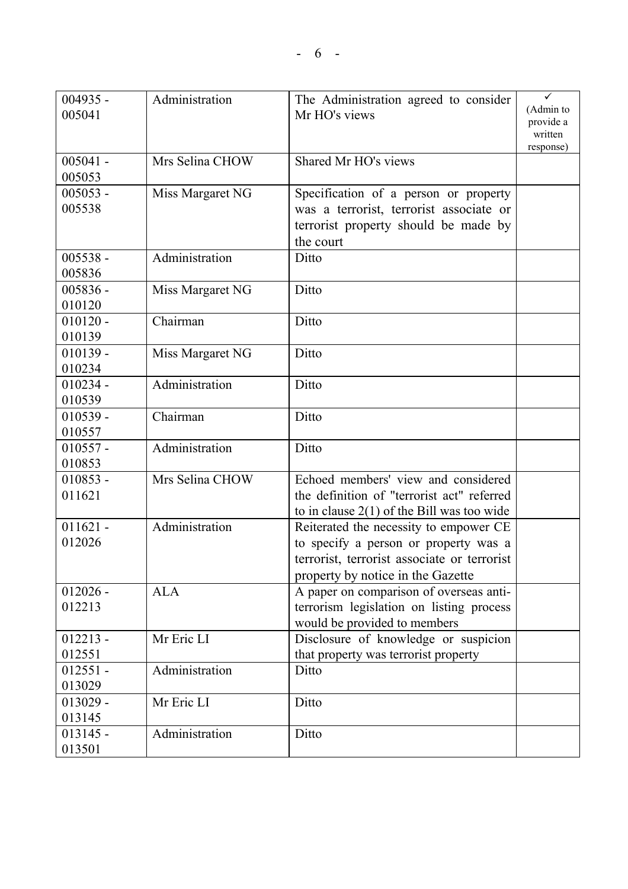| $004935 -$ | Administration   | The Administration agreed to consider        | ✓         |
|------------|------------------|----------------------------------------------|-----------|
| 005041     |                  | Mr HO's views                                | (Admin to |
|            |                  |                                              | provide a |
|            |                  |                                              | written   |
|            |                  |                                              | response) |
| $005041 -$ | Mrs Selina CHOW  | Shared Mr HO's views                         |           |
| 005053     |                  |                                              |           |
| $005053 -$ | Miss Margaret NG | Specification of a person or property        |           |
| 005538     |                  | was a terrorist, terrorist associate or      |           |
|            |                  | terrorist property should be made by         |           |
|            |                  | the court                                    |           |
| $005538 -$ | Administration   | Ditto                                        |           |
| 005836     |                  |                                              |           |
| $005836 -$ | Miss Margaret NG | Ditto                                        |           |
| 010120     |                  |                                              |           |
| $010120 -$ | Chairman         | Ditto                                        |           |
| 010139     |                  |                                              |           |
| $010139 -$ | Miss Margaret NG | Ditto                                        |           |
| 010234     |                  |                                              |           |
| $010234 -$ | Administration   | Ditto                                        |           |
| 010539     |                  |                                              |           |
| $010539 -$ | Chairman         | Ditto                                        |           |
| 010557     |                  |                                              |           |
| $010557 -$ | Administration   | Ditto                                        |           |
| 010853     |                  |                                              |           |
| $010853 -$ | Mrs Selina CHOW  | Echoed members' view and considered          |           |
| 011621     |                  | the definition of "terrorist act" referred   |           |
|            |                  | to in clause $2(1)$ of the Bill was too wide |           |
| $011621 -$ | Administration   | Reiterated the necessity to empower CE       |           |
| 012026     |                  | to specify a person or property was a        |           |
|            |                  | terrorist, terrorist associate or terrorist  |           |
|            |                  | property by notice in the Gazette            |           |
| $012026 -$ | <b>ALA</b>       | A paper on comparison of overseas anti-      |           |
| 012213     |                  | terrorism legislation on listing process     |           |
|            |                  | would be provided to members                 |           |
| $012213 -$ | Mr Eric LI       | Disclosure of knowledge or suspicion         |           |
| 012551     |                  | that property was terrorist property         |           |
| $012551 -$ | Administration   | Ditto                                        |           |
| 013029     |                  |                                              |           |
| $013029 -$ | Mr Eric LI       | Ditto                                        |           |
| 013145     |                  |                                              |           |
| $013145 -$ | Administration   | Ditto                                        |           |
| 013501     |                  |                                              |           |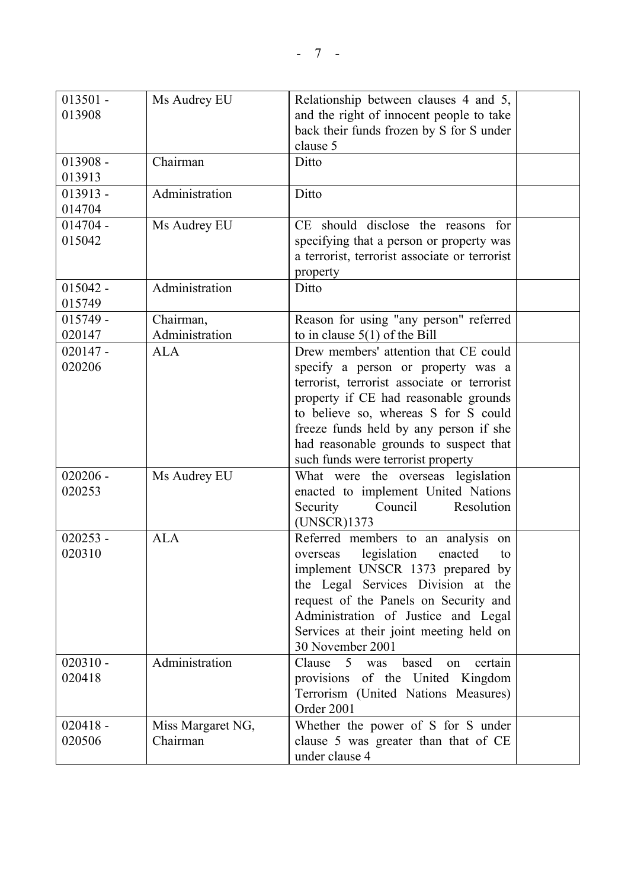| $013501 -$<br>013908 | Ms Audrey EU      | Relationship between clauses 4 and 5,<br>and the right of innocent people to take<br>back their funds frozen by S for S under |  |
|----------------------|-------------------|-------------------------------------------------------------------------------------------------------------------------------|--|
|                      |                   | clause 5                                                                                                                      |  |
| $013908 -$           | Chairman          | Ditto                                                                                                                         |  |
| 013913               |                   |                                                                                                                               |  |
| $013913 -$           | Administration    | Ditto                                                                                                                         |  |
| 014704               |                   |                                                                                                                               |  |
| $014704 -$           | Ms Audrey EU      | CE should disclose the reasons for                                                                                            |  |
| 015042               |                   | specifying that a person or property was                                                                                      |  |
|                      |                   | a terrorist, terrorist associate or terrorist                                                                                 |  |
|                      |                   | property                                                                                                                      |  |
| $015042 -$           | Administration    | Ditto                                                                                                                         |  |
| 015749               |                   |                                                                                                                               |  |
| $015749 -$           | Chairman,         | Reason for using "any person" referred                                                                                        |  |
| 020147               | Administration    | to in clause $5(1)$ of the Bill                                                                                               |  |
| $020147 -$           | <b>ALA</b>        | Drew members' attention that CE could                                                                                         |  |
| 020206               |                   | specify a person or property was a                                                                                            |  |
|                      |                   | terrorist, terrorist associate or terrorist                                                                                   |  |
|                      |                   | property if CE had reasonable grounds                                                                                         |  |
|                      |                   | to believe so, whereas S for S could                                                                                          |  |
|                      |                   | freeze funds held by any person if she                                                                                        |  |
|                      |                   | had reasonable grounds to suspect that                                                                                        |  |
| $020206 -$           |                   | such funds were terrorist property                                                                                            |  |
| 020253               | Ms Audrey EU      | What were the overseas legislation                                                                                            |  |
|                      |                   | enacted to implement United Nations<br>Security<br>Council<br>Resolution                                                      |  |
|                      |                   | $(UNSCR)$ 1373                                                                                                                |  |
| $020253 -$           | <b>ALA</b>        | Referred members to an analysis on                                                                                            |  |
| 020310               |                   | legislation<br>enacted<br>overseas<br>to                                                                                      |  |
|                      |                   | implement UNSCR 1373 prepared by                                                                                              |  |
|                      |                   | the Legal Services Division at the                                                                                            |  |
|                      |                   | request of the Panels on Security and                                                                                         |  |
|                      |                   | Administration of Justice and Legal                                                                                           |  |
|                      |                   | Services at their joint meeting held on                                                                                       |  |
|                      |                   | 30 November 2001                                                                                                              |  |
| $020310 -$           | Administration    | based<br>certain<br>Clause 5 was<br>on                                                                                        |  |
| 020418               |                   | provisions of the United Kingdom                                                                                              |  |
|                      |                   | Terrorism (United Nations Measures)                                                                                           |  |
|                      |                   | Order 2001                                                                                                                    |  |
| $020418 -$           | Miss Margaret NG, | Whether the power of S for S under                                                                                            |  |
| 020506               | Chairman          | clause 5 was greater than that of CE                                                                                          |  |
|                      |                   | under clause 4                                                                                                                |  |